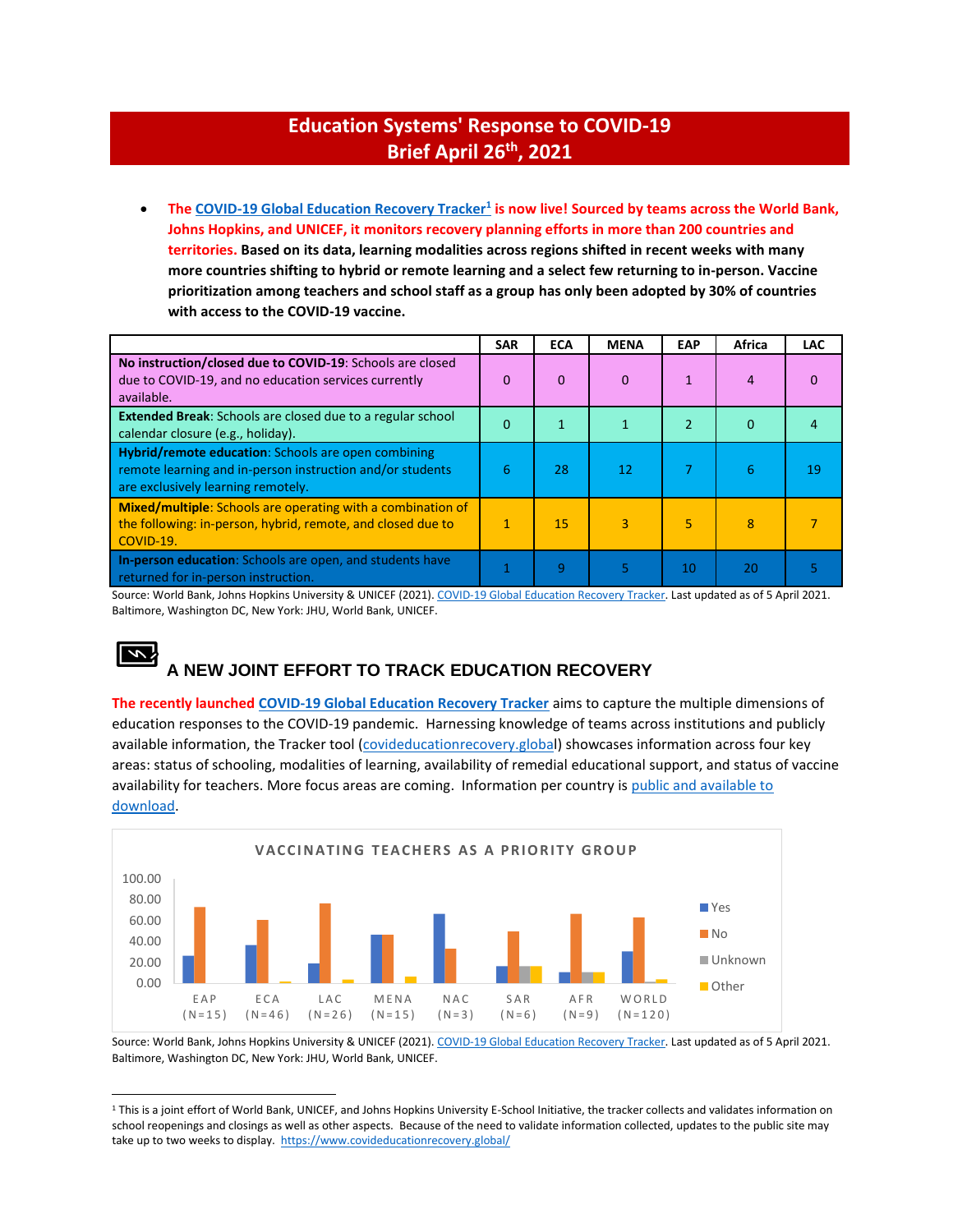### **Education Systems' Response to COVID-19 Brief April 26 th, 2021**

• **Th[e COVID-19 Global Education Recovery Tracker](https://www.covideducationrecovery.global/)<sup>1</sup> is now live! Sourced by teams across the World Bank, Johns Hopkins, and UNICEF, it monitors recovery planning efforts in more than 200 countries and territories. Based on its data, learning modalities across regions shifted in recent weeks with many more countries shifting to hybrid or remote learning and a select few returning to in-person. Vaccine prioritization among teachers and school staff as a group has only been adopted by 30% of countries with access to the COVID-19 vaccine.** 

|                                                                                                                                                        | <b>SAR</b>   | <b>ECA</b> | <b>MENA</b> | EAP | Africa | <b>LAC</b> |
|--------------------------------------------------------------------------------------------------------------------------------------------------------|--------------|------------|-------------|-----|--------|------------|
| No instruction/closed due to COVID-19: Schools are closed<br>due to COVID-19, and no education services currently<br>available.                        | 0            | 0          | $\Omega$    |     | 4      | 0          |
| <b>Extended Break:</b> Schools are closed due to a regular school<br>calendar closure (e.g., holiday).                                                 | 0            |            | 1           | 2   | 0      |            |
| Hybrid/remote education: Schools are open combining<br>remote learning and in-person instruction and/or students<br>are exclusively learning remotely. | 6            | 28         | 12          |     | 6      | 19         |
| Mixed/multiple: Schools are operating with a combination of<br>the following: in-person, hybrid, remote, and closed due to<br>COVID-19.                | $\mathbf{1}$ | 15         | 3           | 5   | 8      |            |
| In-person education: Schools are open, and students have<br>returned for in-person instruction.                                                        | 1            | 9          | 5           | 10  | 20     |            |

Source: World Bank, Johns Hopkins University & UNICEF (2021)[. COVID-19 Global Education Recovery Tracker.](https://www.covideducationrecovery.global/maps/) Last updated as of 5 April 2021. Baltimore, Washington DC, New York: JHU, World Bank, UNICEF.

## **A NEW JOINT EFFORT TO TRACK EDUCATION RECOVERY**

**The recently launched [COVID-19 Global Education Recovery Tracker](https://www.worldbank.org/en/news/press-release/2021/03/26/new-global-tracker-to-measure-pandemic-s-impact-on-education-worldwide)** aims to capture the multiple dimensions of education responses to the COVID-19 pandemic. Harnessing knowledge of teams across institutions and publicly available information, the Tracker tool [\(covideducationrecovery.global](https://www.covideducationrecovery.global/)) showcases information across four key areas: status of schooling, modalities of learning, availability of remedial educational support, and status of vaccine availability for teachers. More focus areas are coming. Information per country is public and available to [download.](https://www.covideducationrecovery.global/country-list/)



Source: World Bank, Johns Hopkins University & UNICEF (2021)[. COVID-19 Global Education Recovery Tracker.](https://www.covideducationrecovery.global/maps/) Last updated as of 5 April 2021. Baltimore, Washington DC, New York: JHU, World Bank, UNICEF.

<sup>&</sup>lt;sup>1</sup> This is a joint effort of World Bank, UNICEF, and Johns Hopkins University E-School Initiative, the tracker collects and validates information on school reopenings and closings as well as other aspects. Because of the need to validate information collected, updates to the public site may take up to two weeks to display.<https://www.covideducationrecovery.global/>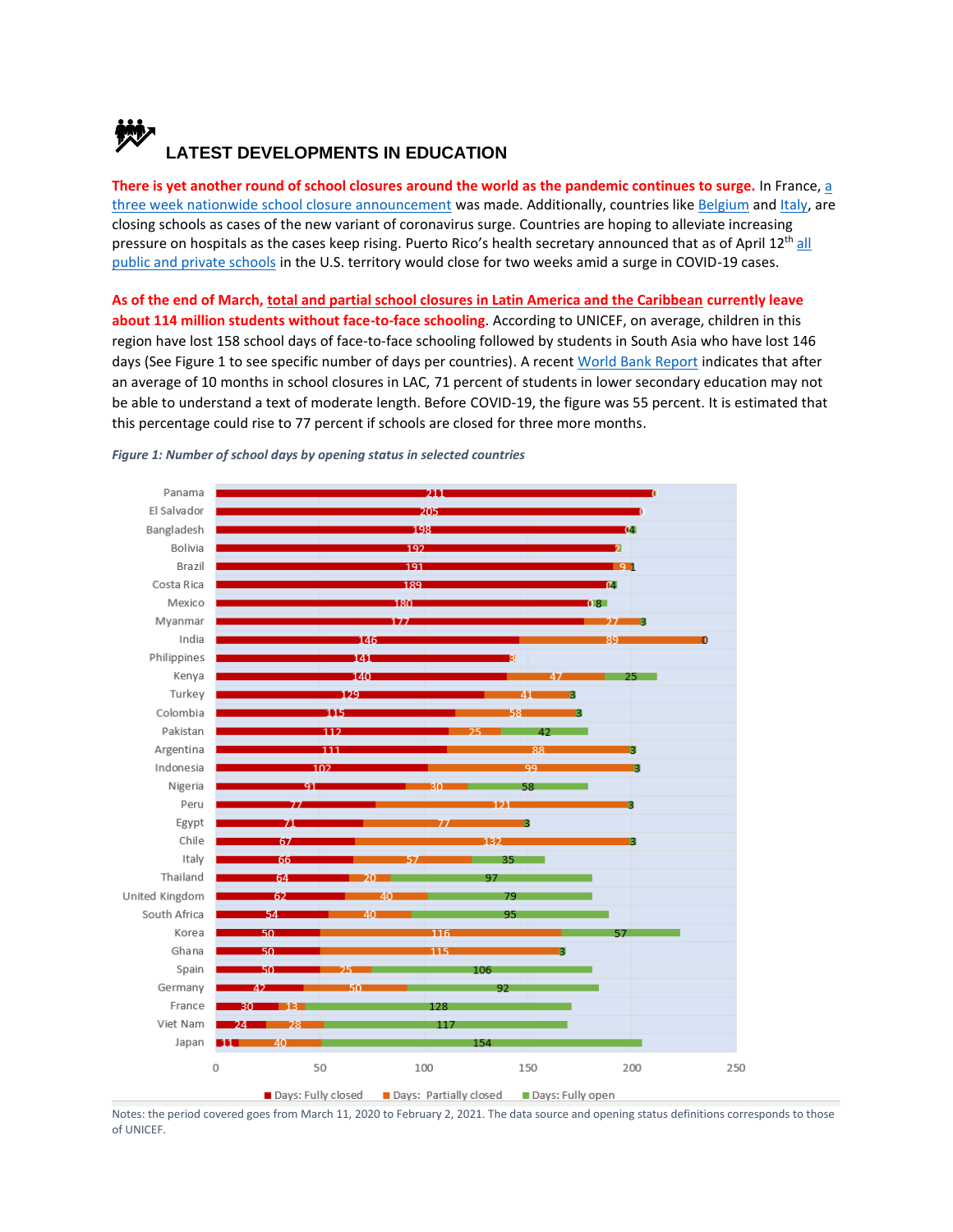# **LATEST DEVELOPMENTS IN EDUCATION**

**There is yet another round of school closures around the world as the pandemic continues to surge.** In France, [a](https://apnews.com/article/france-close-schools-domestic-travel-ban-coronavirus-surge-b5ead689529516dc369170f695bfdf58)  three week nationwide [school closure announcement](https://apnews.com/article/france-close-schools-domestic-travel-ban-coronavirus-surge-b5ead689529516dc369170f695bfdf58) was made. Additionally, countries lik[e Belgium](https://abcnews.go.com/Health/wireStory/latest-pakistan-orders-doses-chinese-made-vaccines-76649087) and [Italy,](https://www.reuters.com/article/us-health-coronavirus-italy-education/italian-parents-and-children-protest-against-covid-school-closures-idUSKBN2BD0M6) are closing schools as cases of the new variant of coronavirus surge. Countries are hoping to alleviate increasing pressure on hospitals as the cases keep rising. Puerto Rico's health secretary announced that as of April 12<sup>th</sup> all [public and private schools](https://www.heraldextra.com/news/world/puerto-rico-to-shutter-schools-amid-spike-in-covid-19-cases/article_c4170829-bb63-5054-a6b8-ebb68d349e46.html) in the U.S. territory would close for two weeks amid a surge in COVID-19 cases.

**As of the end of March[, total and partial school closures in Latin America and the Caribbean](https://www.unicef.org/press-releases/114-million-children-still-out-classroom-latin-america-and-caribbean) currently leave about 114 million students without face-to-face schooling**. According to UNICEF, on average, children in this region have lost 158 school days of face-to-face schooling followed by students in South Asia who have lost 146 days (See Figure 1 to see specific number of days per countries). A recent [World Bank Report](https://openknowledge.worldbank.org/handle/10986/35276?locale-attribute=en) indicates that after an average of 10 months in school closures in LAC, 71 percent of students in lower secondary education may not be able to understand a text of moderate length. Before COVID-19, the figure was 55 percent. It is estimated that this percentage could rise to 77 percent if schools are closed for three more months.



#### *Figure 1: Number of school days by opening status in selected countries*

Notes: the period covered goes from March 11, 2020 to February 2, 2021. The data source and opening status definitions corresponds to those of UNICEF.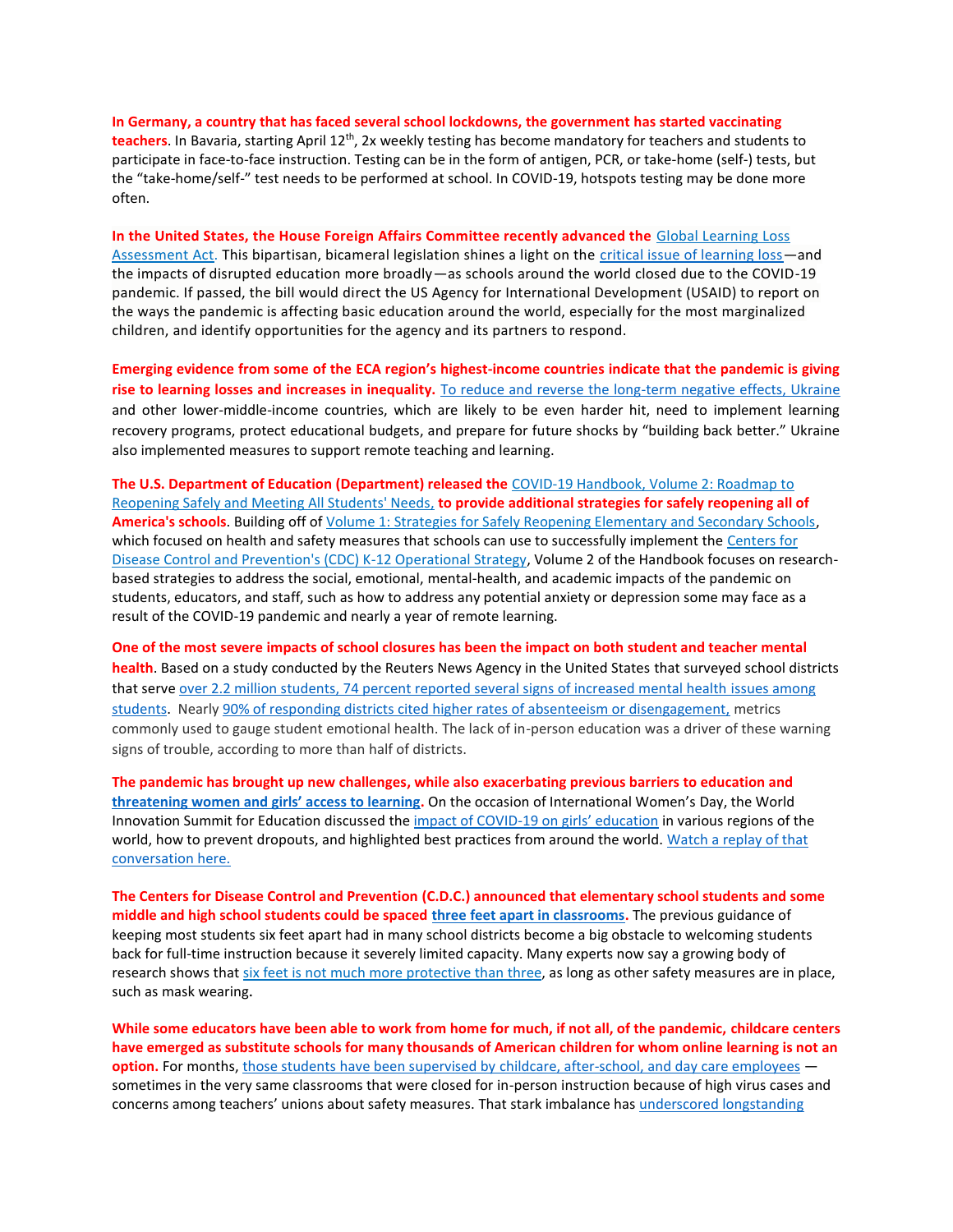**In Germany, a country that has faced several school lockdowns, the government has started vaccinating teachers**. In Bavaria, starting April 12th, 2x weekly testing has become mandatory for teachers and students to participate in face-to-face instruction. Testing can be in the form of antigen, PCR, or take-home (self-) tests, but the "take-home/self-" test needs to be performed at school. In COVID-19, hotspots testing may be done more often.

**In the United States, the House Foreign Affairs Committee recently advanced the** Global [Learning](https://docs.house.gov/meetings/FA/FA00/20210325/111402/BILLS-117-HR1500-H001085-Amdt-13.pdf) Loss [Assessment](https://docs.house.gov/meetings/FA/FA00/20210325/111402/BILLS-117-HR1500-H001085-Amdt-13.pdf) Act. This bipartisan, bicameral legislation shines a light on the [critical issue of learning loss](https://www.cgdev.org/blog/us-congress-raises-alarm-global-learning-loss-and-inequality#.YGsR0SCWBWY.twitter) - and the impacts of disrupted education more broadly—as schools around the world closed due to the COVID-19 pandemic. If passed, the bill would direct the US Agency for International Development (USAID) to report on the ways the pandemic is affecting basic education around the world, especially for the most marginalized children, and identify opportunities for the agency and its partners to respond.

**Emerging evidence from some of the ECA region's highest-income countries indicate that the pandemic is giving rise to learning losses and increases in inequality.** [To reduce and reverse the long-term negative effects, Ukraine](https://www.worldbank.org/en/news/opinion/2021/04/02/the-impact-of-covid-19-on-education-recommendations-and-opportunities-for-ukraine) and other lower-middle-income countries, which are likely to be even harder hit, need to implement learning recovery programs, protect educational budgets, and prepare for future shocks by "building back better." Ukraine also implemented measures to support remote teaching and learning.

**The U.S. Department of Education (Department) released the** [COVID-19 Handbook, Volume 2: Roadmap to](https://nam11.safelinks.protection.outlook.com/?url=https%3A%2F%2Flnks.gd%2Fl%2FeyJhbGciOiJIUzI1NiJ9.eyJidWxsZXRpbl9saW5rX2lkIjoxMDEsInVyaSI6ImJwMjpjbGljayIsImJ1bGxldGluX2lkIjoiMjAyMTA0MDkuMzg1MTAyNzEiLCJ1cmwiOiJodHRwczovL3d3dzIuZWQuZ292L2RvY3VtZW50cy9jb3JvbmF2aXJ1cy9yZW9wZW5pbmctMi5wZGY_dXRtX2NvbnRlbnQ9JnV0bV9tZWRpdW09ZW1haWwmdXRtX25hbWU9JnV0bV9zb3VyY2U9Z292ZGVsaXZlcnkmdXRtX3Rlcm09In0.xzgR0vJ9CYvSXcRRhd8PO1yghd86f81UpEyhWmArfvc%2Fs%2F1435063245%2Fbr%2F101743192773-l&data=04%7C01%7Cdambasz%40worldbank.org%7Cb0a33e486bc74b33d37608d8fb6064da%7C31a2fec0266b4c67b56e2796d8f59c36%7C0%7C1%7C637535738724393452%7CUnknown%7CTWFpbGZsb3d8eyJWIjoiMC4wLjAwMDAiLCJQIjoiV2luMzIiLCJBTiI6Ik1haWwiLCJXVCI6Mn0%3D%7C1000&sdata=HkdSJCxbKcMdN%2BjfeYiaMLyZnPzAzvfOZ8nL%2F9JZVkE%3D&reserved=0)  [Reopening Safely and Meeting All Students' Needs,](https://nam11.safelinks.protection.outlook.com/?url=https%3A%2F%2Flnks.gd%2Fl%2FeyJhbGciOiJIUzI1NiJ9.eyJidWxsZXRpbl9saW5rX2lkIjoxMDEsInVyaSI6ImJwMjpjbGljayIsImJ1bGxldGluX2lkIjoiMjAyMTA0MDkuMzg1MTAyNzEiLCJ1cmwiOiJodHRwczovL3d3dzIuZWQuZ292L2RvY3VtZW50cy9jb3JvbmF2aXJ1cy9yZW9wZW5pbmctMi5wZGY_dXRtX2NvbnRlbnQ9JnV0bV9tZWRpdW09ZW1haWwmdXRtX25hbWU9JnV0bV9zb3VyY2U9Z292ZGVsaXZlcnkmdXRtX3Rlcm09In0.xzgR0vJ9CYvSXcRRhd8PO1yghd86f81UpEyhWmArfvc%2Fs%2F1435063245%2Fbr%2F101743192773-l&data=04%7C01%7Cdambasz%40worldbank.org%7Cb0a33e486bc74b33d37608d8fb6064da%7C31a2fec0266b4c67b56e2796d8f59c36%7C0%7C1%7C637535738724393452%7CUnknown%7CTWFpbGZsb3d8eyJWIjoiMC4wLjAwMDAiLCJQIjoiV2luMzIiLCJBTiI6Ik1haWwiLCJXVCI6Mn0%3D%7C1000&sdata=HkdSJCxbKcMdN%2BjfeYiaMLyZnPzAzvfOZ8nL%2F9JZVkE%3D&reserved=0) **to provide additional strategies for safely reopening all of America's schools**. Building off of [Volume 1: Strategies for Safely Reopening Elementary and Secondary Schools,](https://nam11.safelinks.protection.outlook.com/?url=https%3A%2F%2Flnks.gd%2Fl%2FeyJhbGciOiJIUzI1NiJ9.eyJidWxsZXRpbl9saW5rX2lkIjoxMDIsInVyaSI6ImJwMjpjbGljayIsImJ1bGxldGluX2lkIjoiMjAyMTA0MDkuMzg1MTAyNzEiLCJ1cmwiOiJodHRwczovL3d3dzIuZWQuZ292L2RvY3VtZW50cy9jb3JvbmF2aXJ1cy9yZW9wZW5pbmcucGRmP3V0bV9jb250ZW50PSZ1dG1fbWVkaXVtPWVtYWlsJnV0bV9uYW1lPSZ1dG1fc291cmNlPWdvdmRlbGl2ZXJ5JnV0bV90ZXJtPSJ9.akhT2tsT1ALoPd2oODAUnXj-yw4M_MhM7hjxH29ccn0%2Fs%2F1435063245%2Fbr%2F101743192773-l&data=04%7C01%7Cdambasz%40worldbank.org%7Cb0a33e486bc74b33d37608d8fb6064da%7C31a2fec0266b4c67b56e2796d8f59c36%7C0%7C1%7C637535738724393452%7CUnknown%7CTWFpbGZsb3d8eyJWIjoiMC4wLjAwMDAiLCJQIjoiV2luMzIiLCJBTiI6Ik1haWwiLCJXVCI6Mn0%3D%7C1000&sdata=3Zuce6NeND6ScDUbwTrgk6jMo6RJfm2jazOpfiPNq%2FM%3D&reserved=0) which focused on health and safety measures that schools can use to successfully implement the [Centers for](https://nam11.safelinks.protection.outlook.com/?url=https%3A%2F%2Flnks.gd%2Fl%2FeyJhbGciOiJIUzI1NiJ9.eyJidWxsZXRpbl9saW5rX2lkIjoxMDMsInVyaSI6ImJwMjpjbGljayIsImJ1bGxldGluX2lkIjoiMjAyMTA0MDkuMzg1MTAyNzEiLCJ1cmwiOiJodHRwczovL3d3dy5jZGMuZ292L2Nvcm9uYXZpcnVzLzIwMTktbmNvdi9jb21tdW5pdHkvc2Nob29scy1jaGlsZGNhcmUvb3BlcmF0aW9uLXN0cmF0ZWd5Lmh0bWw_dXRtX2NvbnRlbnQ9JnV0bV9tZWRpdW09ZW1haWwmdXRtX25hbWU9JnV0bV9zb3VyY2U9Z292ZGVsaXZlcnkmdXRtX3Rlcm09In0.GwcJzLrw-6ojDnU61rcrARlI51K5NQ0mh-12lFER688%2Fs%2F1435063245%2Fbr%2F101743192773-l&data=04%7C01%7Cdambasz%40worldbank.org%7Cb0a33e486bc74b33d37608d8fb6064da%7C31a2fec0266b4c67b56e2796d8f59c36%7C0%7C1%7C637535738724403443%7CUnknown%7CTWFpbGZsb3d8eyJWIjoiMC4wLjAwMDAiLCJQIjoiV2luMzIiLCJBTiI6Ik1haWwiLCJXVCI6Mn0%3D%7C1000&sdata=XlgEPIB%2BEbQKE5Op0%2BV0qu7HkrLBEVUqFykwZzAkBdA%3D&reserved=0)  [Disease Control and Prevention's \(CDC\) K-12 Operational Strategy,](https://nam11.safelinks.protection.outlook.com/?url=https%3A%2F%2Flnks.gd%2Fl%2FeyJhbGciOiJIUzI1NiJ9.eyJidWxsZXRpbl9saW5rX2lkIjoxMDMsInVyaSI6ImJwMjpjbGljayIsImJ1bGxldGluX2lkIjoiMjAyMTA0MDkuMzg1MTAyNzEiLCJ1cmwiOiJodHRwczovL3d3dy5jZGMuZ292L2Nvcm9uYXZpcnVzLzIwMTktbmNvdi9jb21tdW5pdHkvc2Nob29scy1jaGlsZGNhcmUvb3BlcmF0aW9uLXN0cmF0ZWd5Lmh0bWw_dXRtX2NvbnRlbnQ9JnV0bV9tZWRpdW09ZW1haWwmdXRtX25hbWU9JnV0bV9zb3VyY2U9Z292ZGVsaXZlcnkmdXRtX3Rlcm09In0.GwcJzLrw-6ojDnU61rcrARlI51K5NQ0mh-12lFER688%2Fs%2F1435063245%2Fbr%2F101743192773-l&data=04%7C01%7Cdambasz%40worldbank.org%7Cb0a33e486bc74b33d37608d8fb6064da%7C31a2fec0266b4c67b56e2796d8f59c36%7C0%7C1%7C637535738724403443%7CUnknown%7CTWFpbGZsb3d8eyJWIjoiMC4wLjAwMDAiLCJQIjoiV2luMzIiLCJBTiI6Ik1haWwiLCJXVCI6Mn0%3D%7C1000&sdata=XlgEPIB%2BEbQKE5Op0%2BV0qu7HkrLBEVUqFykwZzAkBdA%3D&reserved=0) Volume 2 of the Handbook focuses on researchbased strategies to address the social, emotional, mental-health, and academic impacts of the pandemic on students, educators, and staff, such as how to address any potential anxiety or depression some may face as a result of the COVID-19 pandemic and nearly a year of remote learning.

**One of the most severe impacts of school closures has been the impact on both student and teacher mental health**. Based on a study conducted by the Reuters News Agency in the United States that surveyed school districts that serve [over 2.2 million students, 74 percent reported several signs of increased mental health issues among](https://learningenglish.voanews.com/a/report-school-closures-hurting-students-teachers-mental-health/5823856.html)  [students.](https://learningenglish.voanews.com/a/report-school-closures-hurting-students-teachers-mental-health/5823856.html) Nearly [90% of responding districts cited higher rates of absenteeism or disengagement,](https://www.reuters.com/investigates/special-report/health-coronavirus-students/) metrics commonly used to gauge student emotional health. The lack of in-person education was a driver of these warning signs of trouble, according to more than half of districts.

**The pandemic has brought up new challenges, while also exacerbating previous barriers to education and [threatening women and girls' access to learning](https://www.brookings.edu/blog/africa-in-focus/2021/03/05/putting-girls-at-the-center-of-the-covid-19-pandemic-response-in-africa/).** On the occasion of International Women's Day, the World Innovation Summit for Education discussed the impact of COVID-[19 on girls' education](https://www.globalcitizen.org/en/content/covid-19-girls-education-asia-pacific/) in various regions of the world, how to prevent dropouts, and highlighted best practices from around the world. Watch a replay of that [conversation here.](https://www.facebook.com/wiseqatar/videos/2884330241799581)

**The Centers for Disease Control and Prevention (C.D.C.) announced that elementary school students and some middle and high school students could be spaced [three feet apart in classrooms.](https://www.nytimes.com/2021/03/20/world/cdc-social-distance-schools-three-feet.html)** The previous guidance of keeping most students six feet apart had in many school districts become a big obstacle to welcoming students back for full-time instruction because it severely limited capacity. Many experts now say a growing body of research shows that six feet is not much more [protective](https://www.nytimes.com/2021/03/16/health/coronavirus-schools-social-distance.html) than three, as long as other safety measures are in place, such as mask wearing.

**While some educators have been able to work from home for much, if not all, of the pandemic, childcare centers have emerged as substitute schools for many thousands of American children for whom online learning is not an option.** For months[, those students have been supervised by childcare, after-school,](https://www.nytimes.com/2021/03/19/nyregion/child-care-teachers-schools-covid.html) and day care employees – sometimes in the very same classrooms that were closed for in-person instruction because of high virus cases and concerns among teachers' unions about safety measures. That stark imbalance has underscored longstanding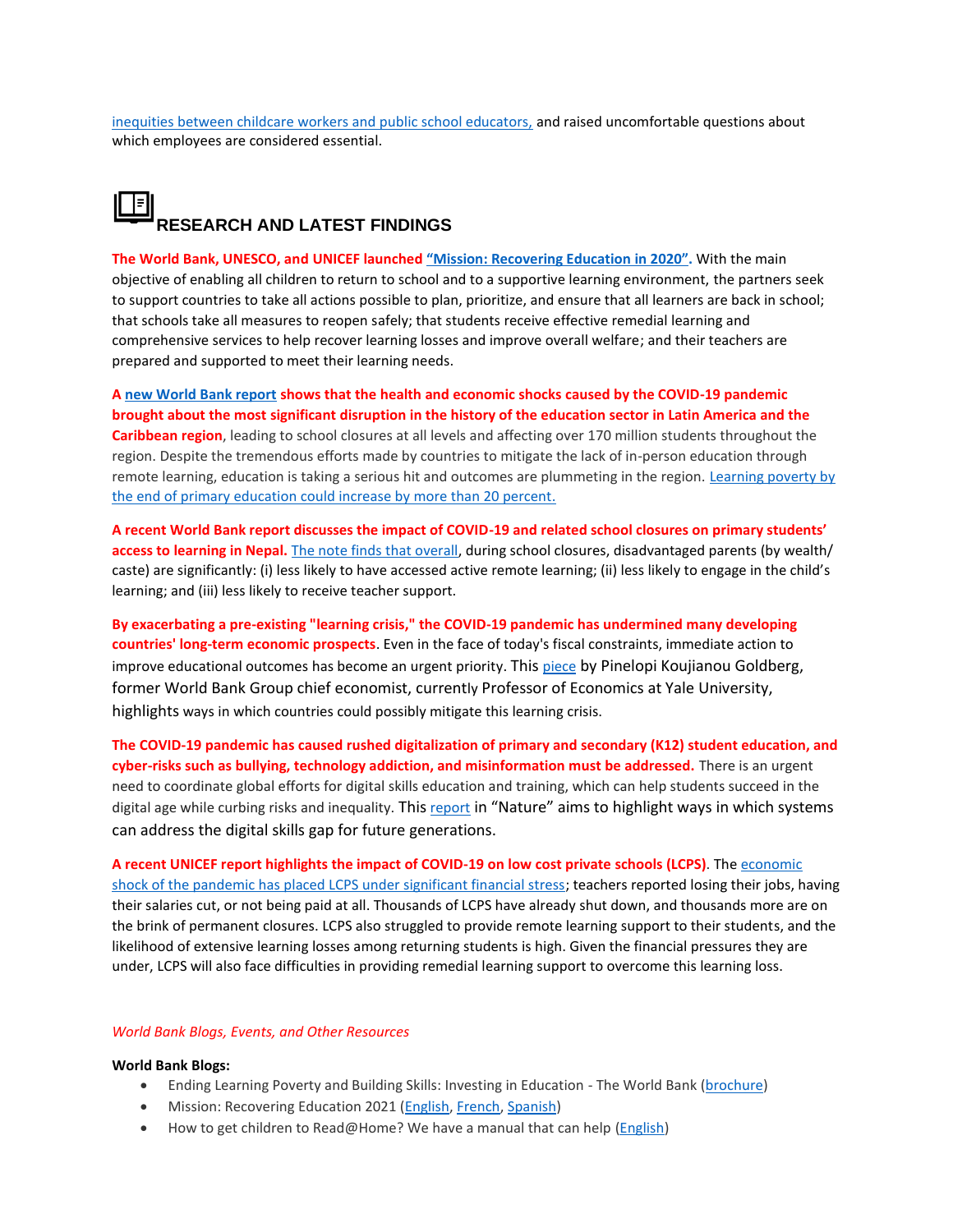[inequities between childcare workers and public school educators,](https://www.brookings.edu/blog/brown-center-chalkboard/2021/02/16/stabilizing-child-care-requires-more-than-emergency-covid-19-relief-funds/) and raised uncomfortable questions about which employees are considered essential.

## **RESEARCH AND LATEST FINDINGS**

**The World Bank, UNESCO, and UNICEF launched "Mission: [Recovering Education](https://www.worldbank.org/en/topic/education/brief/mission-recovering-education-in-2021) in 2020".** With the main objective of enabling all children to return to school and to a supportive learning environment, the partners seek to support countries to take all actions possible to plan, prioritize, and ensure that all learners are back in school; that schools take all measures to reopen safely; that students receive effective remedial learning and comprehensive services to help recover learning losses and improve overall welfare; and their teachers are prepared and supported to meet their learning needs.

**[A new World Bank report](https://www.worldbank.org/en/news/press-release/2021/03/17/hacer-frente-a-la-crisis-educativa-en-america-latina-y-el-caribe) shows that the health and economic shocks caused by the COVID-19 pandemic brought about the most significant disruption in the history of the education sector in Latin America and the Caribbean region**, leading to school closures at all levels and affecting over 170 million students throughout the region. Despite the tremendous efforts made by countries to mitigate the lack of in-person education through remote learning, education is taking a serious hit and outcomes are plummeting in the region. [Learning poverty by](https://openknowledge.worldbank.org/handle/10986/35276)  [the end of primary education could increase by more than 20 percent.](https://openknowledge.worldbank.org/handle/10986/35276)

**A recent World Bank report discusses the impact of COVID-19 and related school closures on primary students' access to learning in Nepal.** [The note finds that overall,](https://openknowledge.worldbank.org/bitstream/handle/10986/35384/Learning-in-the-Time-of-COVID-19-Insights-from-Nepal.pdf?sequence=1&isAllowed=y) during school closures, disadvantaged parents (by wealth/ caste) are significantly: (i) less likely to have accessed active remote learning; (ii) less likely to engage in the child's learning; and (iii) less likely to receive teacher support.

**By exacerbating a pre-existing "learning crisis," the COVID-19 pandemic has undermined many developing countries' long-term economic prospects**. Even in the face of today's fiscal constraints, immediate action to improve educational outcomes has become an urgent priority. This [piece](https://www.project-syndicate.org/columnist/pinelopi-koujianou-goldberg) by Pinelopi Koujianou Goldberg, former World Bank Group chief economist, currently Professor of Economics at Yale University, highlights ways in which countries could possibly mitigate this learning crisis.

**The COVID-19 pandemic has caused rushed digitalization of primary and secondary (K12) student education, and cyber-risks such as bullying, technology addiction, and misinformation must be addressed.** There is an urgent need to coordinate global efforts for digital skills education and training, which can help students succeed in the digital age while curbing risks and inequality. This [report](https://www.nature.com/articles/s41562-021-01074-z?utm_source=feedburner&utm_medium=feed&utm_campaign=Feed%3A+nathumbehav%2Frss%2Fcurrent+%28Nature+Human+Behaviour%29) in "Nature" aims to highlight ways in which systems can address the digital skills gap for future generations.

**A recent UNICEF report highlights the impact of COVID-19 on low cost private schools (LCPS)**. The [economic](https://www.unicef.org/globalinsight/media/1581/file/UNICEF_Global_Insight_Implications_covid-19_Low-cost_Private_Schools_2021.pdf)  [shock of the pandemic has placed LCPS under significant financial stress;](https://www.unicef.org/globalinsight/media/1581/file/UNICEF_Global_Insight_Implications_covid-19_Low-cost_Private_Schools_2021.pdf) teachers reported losing their jobs, having their salaries cut, or not being paid at all. Thousands of LCPS have already shut down, and thousands more are on the brink of permanent closures. LCPS also struggled to provide remote learning support to their students, and the likelihood of extensive learning losses among returning students is high. Given the financial pressures they are under, LCPS will also face difficulties in providing remedial learning support to overcome this learning loss.

#### *World Bank Blogs, Events, and Other Resources*

#### **World Bank Blogs:**

- Ending Learning Poverty and Building Skills: Investing in Education The World Bank [\(brochure\)](https://issuu.com/afaquir-worldbankgroup/docs/wb_educationbrochure_apr.15.21_final)
- Mission: Recovering Education 2021 [\(English,](https://blogs.worldbank.org/education/mission-recovering-education-2021) [French, Spanish\)](https://fr.unesco.org/news/mission-retablir-leducation-2021)
- How to get children to Read@Home? We have a manual that can help [\(English\)](https://blogs.worldbank.org/education/how-get-children-readhome-we-have-manual-can-help)